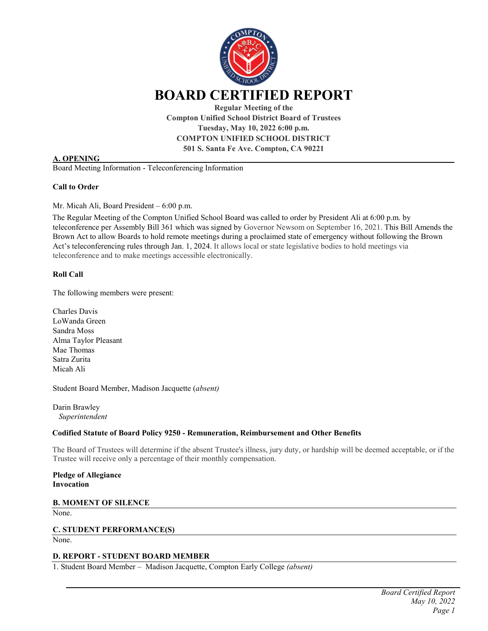

**Compton Unified School District Board of Trustees Tuesday, May 10, 2022 6:00 p.m. COMPTON UNIFIED SCHOOL DISTRICT 501 S. Santa Fe Ave. Compton, CA 90221**

### **A. OPENING**

Board Meeting Information - Teleconferencing Information

#### **Call to Order**

Mr. Micah Ali, Board President – 6:00 p.m.

The Regular Meeting of the Compton Unified School Board was called to order by President Ali at 6:00 p.m. by teleconference per Assembly Bill 361 which was signed by Governor Newsom on September 16, 2021. This Bill Amends the Brown Act to allow Boards to hold remote meetings during a proclaimed state of emergency without following the Brown Act's teleconferencing rules through Jan. 1, 2024. It allows local or state legislative bodies to hold meetings via teleconference and to make meetings accessible electronically.

### **Roll Call**

The following members were present:

Charles Davis LoWanda Green Sandra Moss Alma Taylor Pleasant Mae Thomas Satra Zurita Micah Ali

Student Board Member, Madison Jacquette (*absent)*

Darin Brawley *Superintendent* 

#### **Codified Statute of Board Policy 9250 - Remuneration, Reimbursement and Other Benefits**

The Board of Trustees will determine if the absent Trustee's illness, jury duty, or hardship will be deemed acceptable, or if the Trustee will receive only a percentage of their monthly compensation.

**Pledge of Allegiance Invocation**

**B. MOMENT OF SILENCE**

None.

### **C. STUDENT PERFORMANCE(S)**

None.

# **D. REPORT - STUDENT BOARD MEMBER**

1. Student Board Member – Madison Jacquette, Compton Early College *(absent)*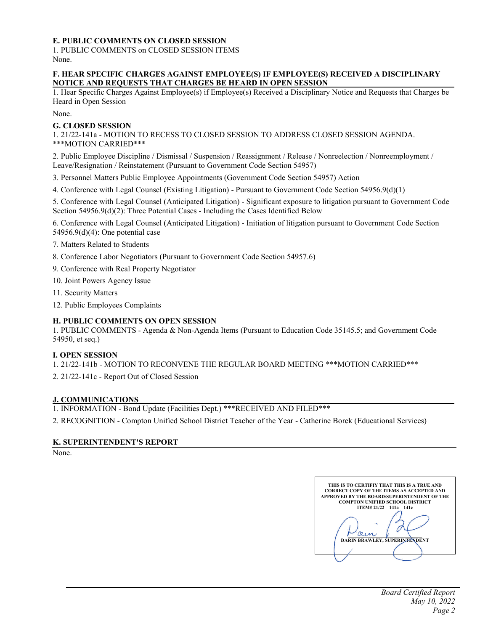# **E. PUBLIC COMMENTS ON CLOSED SESSION**

1. PUBLIC COMMENTS on CLOSED SESSION ITEMS None.

## **F. HEAR SPECIFIC CHARGES AGAINST EMPLOYEE(S) IF EMPLOYEE(S) RECEIVED A DISCIPLINARY NOTICE AND REQUESTS THAT CHARGES BE HEARD IN OPEN SESSION**

1. Hear Specific Charges Against Employee(s) if Employee(s) Received a Disciplinary Notice and Requests that Charges be Heard in Open Session

None.

#### **G. CLOSED SESSION**

1. 21/22-141a - MOTION TO RECESS TO CLOSED SESSION TO ADDRESS CLOSED SESSION AGENDA. \*\*\*MOTION CARRIED\*\*\*

2. Public Employee Discipline / Dismissal / Suspension / Reassignment / Release / Nonreelection / Nonreemployment / Leave/Resignation / Reinstatement (Pursuant to Government Code Section 54957)

3. Personnel Matters Public Employee Appointments (Government Code Section 54957) Action

4. Conference with Legal Counsel (Existing Litigation) - Pursuant to Government Code Section 54956.9(d)(1)

5. Conference with Legal Counsel (Anticipated Litigation) - Significant exposure to litigation pursuant to Government Code Section 54956.9(d)(2): Three Potential Cases - Including the Cases Identified Below

6. Conference with Legal Counsel (Anticipated Litigation) - Initiation of litigation pursuant to Government Code Section 54956.9(d)(4): One potential case

7. Matters Related to Students

- 8. Conference Labor Negotiators (Pursuant to Government Code Section 54957.6)
- 9. Conference with Real Property Negotiator

10. Joint Powers Agency Issue

- 11. Security Matters
- 12. Public Employees Complaints

### **H. PUBLIC COMMENTS ON OPEN SESSION**

1. PUBLIC COMMENTS - Agenda & Non-Agenda Items (Pursuant to Education Code 35145.5; and Government Code 54950, et seq.)

### **I. OPEN SESSION**

1. 21/22-141b - MOTION TO RECONVENE THE REGULAR BOARD MEETING \*\*\*MOTION CARRIED\*\*\*

2. 21/22-141c - Report Out of Closed Session

#### **J. COMMUNICATIONS**

1. INFORMATION - Bond Update (Facilities Dept.) \*\*\*RECEIVED AND FILED\*\*\*

2. RECOGNITION - Compton Unified School District Teacher of the Year - Catherine Borek (Educational Services)

### **K. SUPERINTENDENT'S REPORT**

None.

| THIS IS TO CERTIFIY THAT THIS IS A TRUE AND<br><b>CORRECT COPY OF THE ITEMS AS ACCEPTED AND</b><br>APPROVED BY THE BOARD/SUPERINTENDENT OF THE |
|------------------------------------------------------------------------------------------------------------------------------------------------|
| <b>COMPTON UNIFIED SCHOOL DISTRICT</b>                                                                                                         |
| $ITEM# 21/22 - 141a - 141c$                                                                                                                    |
|                                                                                                                                                |
| DARIN BRAWLEY, SUPERINTENDENT                                                                                                                  |
|                                                                                                                                                |
|                                                                                                                                                |
|                                                                                                                                                |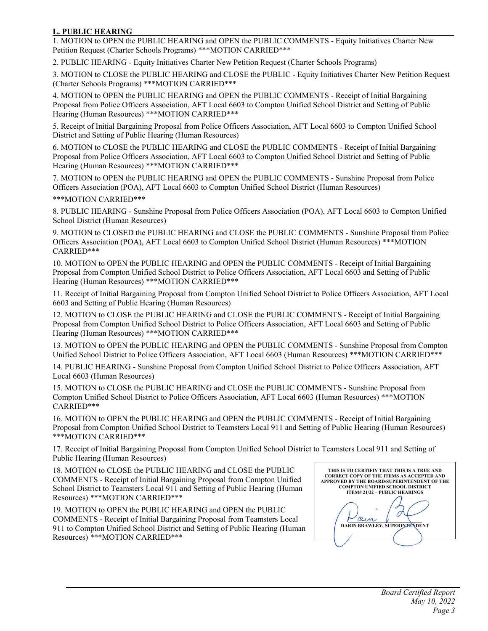## **L. PUBLIC HEARING**

1. MOTION to OPEN the PUBLIC HEARING and OPEN the PUBLIC COMMENTS - Equity Initiatives Charter New Petition Request (Charter Schools Programs) \*\*\*MOTION CARRIED\*\*\*

2. PUBLIC HEARING - Equity Initiatives Charter New Petition Request (Charter Schools Programs)

3. MOTION to CLOSE the PUBLIC HEARING and CLOSE the PUBLIC - Equity Initiatives Charter New Petition Request (Charter Schools Programs) \*\*\*MOTION CARRIED\*\*\*

4. MOTION to OPEN the PUBLIC HEARING and OPEN the PUBLIC COMMENTS - Receipt of Initial Bargaining Proposal from Police Officers Association, AFT Local 6603 to Compton Unified School District and Setting of Public Hearing (Human Resources) \*\*\*MOTION CARRIED\*\*\*

5. Receipt of Initial Bargaining Proposal from Police Officers Association, AFT Local 6603 to Compton Unified School District and Setting of Public Hearing (Human Resources)

6. MOTION to CLOSE the PUBLIC HEARING and CLOSE the PUBLIC COMMENTS - Receipt of Initial Bargaining Proposal from Police Officers Association, AFT Local 6603 to Compton Unified School District and Setting of Public Hearing (Human Resources) \*\*\*MOTION CARRIED\*\*\*

7. MOTION to OPEN the PUBLIC HEARING and OPEN the PUBLIC COMMENTS - Sunshine Proposal from Police Officers Association (POA), AFT Local 6603 to Compton Unified School District (Human Resources)

### \*\*\*MOTION CARRIED\*\*\*

8. PUBLIC HEARING - Sunshine Proposal from Police Officers Association (POA), AFT Local 6603 to Compton Unified School District (Human Resources)

9. MOTION to CLOSED the PUBLIC HEARING and CLOSE the PUBLIC COMMENTS - Sunshine Proposal from Police Officers Association (POA), AFT Local 6603 to Compton Unified School District (Human Resources) \*\*\*MOTION CARRIED\*\*\*

10. MOTION to OPEN the PUBLIC HEARING and OPEN the PUBLIC COMMENTS - Receipt of Initial Bargaining Proposal from Compton Unified School District to Police Officers Association, AFT Local 6603 and Setting of Public Hearing (Human Resources) \*\*\*MOTION CARRIED\*\*\*

11. Receipt of Initial Bargaining Proposal from Compton Unified School District to Police Officers Association, AFT Local 6603 and Setting of Public Hearing (Human Resources)

12. MOTION to CLOSE the PUBLIC HEARING and CLOSE the PUBLIC COMMENTS - Receipt of Initial Bargaining Proposal from Compton Unified School District to Police Officers Association, AFT Local 6603 and Setting of Public Hearing (Human Resources) \*\*\*MOTION CARRIED\*\*\*

13. MOTION to OPEN the PUBLIC HEARING and OPEN the PUBLIC COMMENTS - Sunshine Proposal from Compton Unified School District to Police Officers Association, AFT Local 6603 (Human Resources) \*\*\*MOTION CARRIED\*\*\*

14. PUBLIC HEARING - Sunshine Proposal from Compton Unified School District to Police Officers Association, AFT Local 6603 (Human Resources)

15. MOTION to CLOSE the PUBLIC HEARING and CLOSE the PUBLIC COMMENTS - Sunshine Proposal from Compton Unified School District to Police Officers Association, AFT Local 6603 (Human Resources) \*\*\*MOTION CARRIED\*\*\*

16. MOTION to OPEN the PUBLIC HEARING and OPEN the PUBLIC COMMENTS - Receipt of Initial Bargaining Proposal from Compton Unified School District to Teamsters Local 911 and Setting of Public Hearing (Human Resources) \*\*\*MOTION CARRIED\*\*\*

17. Receipt of Initial Bargaining Proposal from Compton Unified School District to Teamsters Local 911 and Setting of Public Hearing (Human Resources)

18. MOTION to CLOSE the PUBLIC HEARING and CLOSE the PUBLIC COMMENTS - Receipt of Initial Bargaining Proposal from Compton Unified School District to Teamsters Local 911 and Setting of Public Hearing (Human Resources) \*\*\*MOTION CARRIED\*\*\*

19. MOTION to OPEN the PUBLIC HEARING and OPEN the PUBLIC COMMENTS - Receipt of Initial Bargaining Proposal from Teamsters Local 911 to Compton Unified School District and Setting of Public Hearing (Human Resources) \*\*\*MOTION CARRIED\*\*\*

**THIS IS TO CERTIFIY THAT THIS IS A TRUE AND CORRECT COPY OF THE ITEMS AS ACCEPTED AND APPROVED BY THE BOARD/SUPERINTENDENT OF THE COMPTON UNIFIED SCHOOL DISTRICT ITEM# 21/22 – PUBLIC HEARINGS** C **\_\_\_\_\_\_\_\_\_\_\_\_\_\_\_\_\_\_\_\_\_\_\_\_\_\_\_\_\_\_\_ DARIN BRAWLEY, SUPERINTENDENT**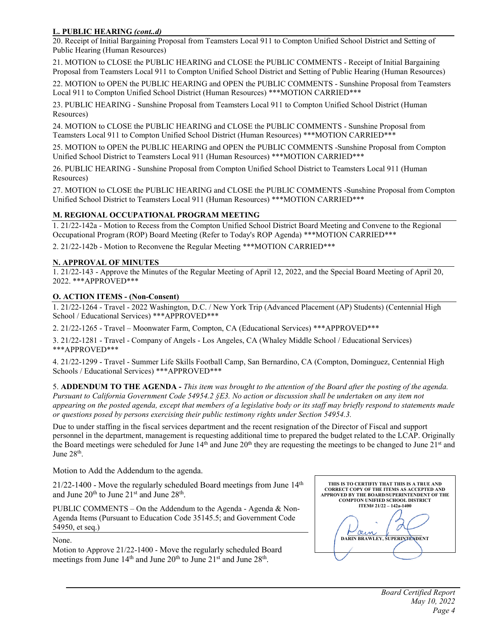# **L. PUBLIC HEARING** *(cont..d)*

20. Receipt of Initial Bargaining Proposal from Teamsters Local 911 to Compton Unified School District and Setting of Public Hearing (Human Resources)

21. MOTION to CLOSE the PUBLIC HEARING and CLOSE the PUBLIC COMMENTS - Receipt of Initial Bargaining Proposal from Teamsters Local 911 to Compton Unified School District and Setting of Public Hearing (Human Resources)

22. MOTION to OPEN the PUBLIC HEARING and OPEN the PUBLIC COMMENTS - Sunshine Proposal from Teamsters Local 911 to Compton Unified School District (Human Resources) \*\*\*MOTION CARRIED\*\*\*

23. PUBLIC HEARING - Sunshine Proposal from Teamsters Local 911 to Compton Unified School District (Human Resources)

24. MOTION to CLOSE the PUBLIC HEARING and CLOSE the PUBLIC COMMENTS - Sunshine Proposal from Teamsters Local 911 to Compton Unified School District (Human Resources) \*\*\*MOTION CARRIED\*\*\*

25. MOTION to OPEN the PUBLIC HEARING and OPEN the PUBLIC COMMENTS -Sunshine Proposal from Compton Unified School District to Teamsters Local 911 (Human Resources) \*\*\*MOTION CARRIED\*\*\*

26. PUBLIC HEARING - Sunshine Proposal from Compton Unified School District to Teamsters Local 911 (Human Resources)

27. MOTION to CLOSE the PUBLIC HEARING and CLOSE the PUBLIC COMMENTS -Sunshine Proposal from Compton Unified School District to Teamsters Local 911 (Human Resources) \*\*\*MOTION CARRIED\*\*\*

# **M. REGIONAL OCCUPATIONAL PROGRAM MEETING**

1. 21/22-142a - Motion to Recess from the Compton Unified School District Board Meeting and Convene to the Regional Occupational Program (ROP) Board Meeting (Refer to Today's ROP Agenda) \*\*\*MOTION CARRIED\*\*\*

2. 21/22-142b - Motion to Reconvene the Regular Meeting \*\*\*MOTION CARRIED\*\*\*

# **N. APPROVAL OF MINUTES**

1. 21/22-143 - Approve the Minutes of the Regular Meeting of April 12, 2022, and the Special Board Meeting of April 20, 2022. \*\*\*APPROVED\*\*\*

# **O. ACTION ITEMS - (Non-Consent)**

1. 21/22-1264 - Travel - 2022 Washington, D.C. / New York Trip (Advanced Placement (AP) Students) (Centennial High School / Educational Services) \*\*\*APPROVED\*\*\*

2. 21/22-1265 - Travel – Moonwater Farm, Compton, CA (Educational Services) \*\*\*APPROVED\*\*\*

3. 21/22-1281 - Travel - Company of Angels - Los Angeles, CA (Whaley Middle School / Educational Services) \*\*\*APPROVED\*\*\*

4. 21/22-1299 - Travel - Summer Life Skills Football Camp, San Bernardino, CA (Compton, Dominguez, Centennial High Schools / Educational Services) \*\*\*APPROVED\*\*\*

5. **ADDENDUM TO THE AGENDA -** *This item was brought to the attention of the Board after the posting of the agenda. Pursuant to California Government Code 54954.2 §E3. No action or discussion shall be undertaken on any item not appearing on the posted agenda, except that members of a legislative body or its staff may briefly respond to statements made or questions posed by persons exercising their public testimony rights under [Section 54954.3.](https://1.next.westlaw.com/Link/Document/FullText?findType=L&originatingContext=document&transitionType=DocumentItem&pubNum=1000211&refType=LQ&originatingDoc=I7c2483101af811e98d8ffd1464e83236&cite=CAGTS54954.3)*

Due to under staffing in the fiscal services department and the recent resignation of the Director of Fiscal and support personnel in the department, management is requesting additional time to prepared the budget related to the LCAP. Originally the Board meetings were scheduled for June  $14<sup>th</sup>$  and June  $20<sup>th</sup>$  they are requesting the meetings to be changed to June  $21<sup>st</sup>$  and June  $28<sup>th</sup>$ .

Motion to Add the Addendum to the agenda.

 $21/22-1400$  - Move the regularly scheduled Board meetings from June  $14<sup>th</sup>$ and June  $20^{th}$  to June  $21^{st}$  and June  $28^{th}$ .

PUBLIC COMMENTS – On the Addendum to the Agenda - Agenda & Non-Agenda Items (Pursuant to Education Code 35145.5; and Government Code 54950, et seq.)

None.

Motion to Approve 21/22-1400 - Move the regularly scheduled Board meetings from June  $14<sup>th</sup>$  and June  $20<sup>th</sup>$  to June  $21<sup>st</sup>$  and June  $28<sup>th</sup>$ .

| THIS IS TO CERTIFIY THAT THIS IS A TRUE AND<br><b>CORRECT COPY OF THE ITEMS AS ACCEPTED AND</b><br><b>APPROVED BY THE BOARD/SUPERINTENDENT OF THE</b><br><b>COMPTON UNIFIED SCHOOL DISTRICT</b> |
|-------------------------------------------------------------------------------------------------------------------------------------------------------------------------------------------------|
| ITEM# 21/22 - 142a-1400                                                                                                                                                                         |
| <b>DARIN BRAWLEY, SUPERINTENDENT</b>                                                                                                                                                            |
|                                                                                                                                                                                                 |
|                                                                                                                                                                                                 |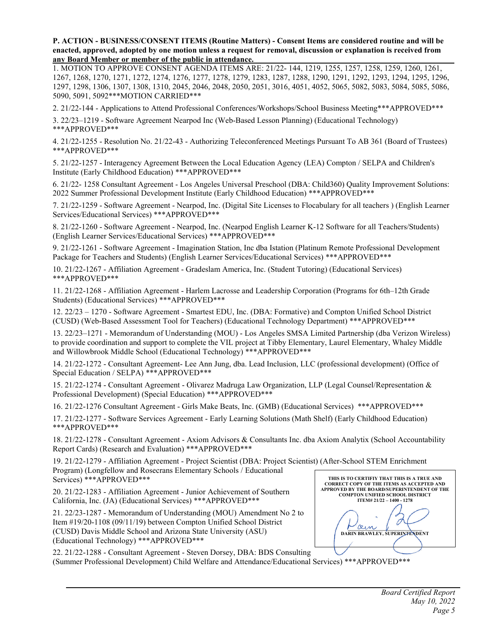**P. ACTION - BUSINESS/CONSENT ITEMS (Routine Matters) - Consent Items are considered routine and will be** enacted, approved, adopted by one motion unless a request for removal, discussion or explanation is received from **any Board Member or member of the public in attendance.**

1. MOTION TO APPROVE CONSENT AGENDA ITEMS ARE: 21/22- 144, 1219, 1255, 1257, 1258, 1259, 1260, 1261, 1267, 1268, 1270, 1271, 1272, 1274, 1276, 1277, 1278, 1279, 1283, 1287, 1288, 1290, 1291, 1292, 1293, 1294, 1295, 1296, 1297, 1298, 1306, 1307, 1308, 1310, 2045, 2046, 2048, 2050, 2051, 3016, 4051, 4052, 5065, 5082, 5083, 5084, 5085, 5086, 5090, 5091, 5092\*\*\*MOTION CARRIED\*\*\*

2. 21/22-144 - Applications to Attend Professional Conferences/Workshops/School Business Meeting\*\*\*APPROVED\*\*\*

3. 22/23–1219 - Software Agreement Nearpod Inc (Web-Based Lesson Planning) (Educational Technology) \*\*\*APPROVED\*\*\*

4. 21/22-1255 - Resolution No. 21/22-43 - Authorizing Teleconferenced Meetings Pursuant To AB 361 (Board of Trustees) \*\*\*APPROVED\*\*\*

5. 21/22-1257 - Interagency Agreement Between the Local Education Agency (LEA) Compton / SELPA and Children's Institute (Early Childhood Education) \*\*\*APPROVED\*\*\*

6. 21/22- 1258 Consultant Agreement - Los Angeles Universal Preschool (DBA: Child360) Quality Improvement Solutions: 2022 Summer Professional Development Institute (Early Childhood Education) \*\*\*APPROVED\*\*\*

7. 21/22-1259 - Software Agreement - Nearpod, Inc. (Digital Site Licenses to Flocabulary for all teachers ) (English Learner Services/Educational Services) \*\*\*APPROVED\*\*\*

8. 21/22-1260 - Software Agreement - Nearpod, Inc. (Nearpod English Learner K-12 Software for all Teachers/Students) (English Learner Services/Educational Services) \*\*\*APPROVED\*\*\*

9. 21/22-1261 - Software Agreement - Imagination Station, Inc dba Istation (Platinum Remote Professional Development Package for Teachers and Students) (English Learner Services/Educational Services) \*\*\*APPROVED\*\*\*

10. 21/22-1267 - Affiliation Agreement - Gradeslam America, Inc. (Student Tutoring) (Educational Services) \*\*\*APPROVED\*\*\*

11. 21/22-1268 - Affiliation Agreement - Harlem Lacrosse and Leadership Corporation (Programs for 6th–12th Grade Students) (Educational Services) \*\*\*APPROVED\*\*\*

12. 22/23 – 1270 - Software Agreement - Smartest EDU, Inc. (DBA: Formative) and Compton Unified School District (CUSD) (Web-Based Assessment Tool for Teachers) (Educational Technology Department) \*\*\*APPROVED\*\*\*

13. 22/23–1271 - Memorandum of Understanding (MOU) - Los Angeles SMSA Limited Partnership (dba Verizon Wireless) to provide coordination and support to complete the VIL project at Tibby Elementary, Laurel Elementary, Whaley Middle and Willowbrook Middle School (Educational Technology) \*\*\*APPROVED\*\*\*

14. 21/22-1272 - Consultant Agreement- Lee Ann Jung, dba. Lead Inclusion, LLC (professional development) (Office of Special Education / SELPA) \*\*\*APPROVED\*\*\*

15. 21/22-1274 - Consultant Agreement - Olivarez Madruga Law Organization, LLP (Legal Counsel/Representation & Professional Development) (Special Education) \*\*\*APPROVED\*\*\*

16. 21/22-1276 Consultant Agreement - Girls Make Beats, Inc. (GMB) (Educational Services) \*\*\*APPROVED\*\*\*

17. 21/22-1277 - Software Services Agreement - Early Learning Solutions (Math Shelf) (Early Childhood Education) \*\*\*APPROVED\*\*\*

18. 21/22-1278 - Consultant Agreement - Axiom Advisors & Consultants Inc. dba Axiom Analytix (School Accountability Report Cards) (Research and Evaluation) \*\*\*APPROVED\*\*\*

19. 21/22-1279 - Affiliation Agreement - Project Scientist (DBA: Project Scientist) (After-School STEM Enrichment Program) (Longfellow and Rosecrans Elementary Schools / Educational Services) \*\*\*APPROVED\*\*\*

20. 21/22-1283 - Affiliation Agreement - Junior Achievement of Southern California, Inc. (JA) (Educational Services) \*\*\*APPROVED\*\*\*

21. 22/23-1287 - Memorandum of Understanding (MOU) Amendment No 2 to Item #19/20-1108 (09/11/19) between Compton Unified School District (CUSD) Davis Middle School and Arizona State University (ASU) (Educational Technology) \*\*\*APPROVED\*\*\*

**THIS IS TO CERTIFIY THAT THIS IS A TRUE AND CORRECT COPY OF THE ITEMS AS ACCEPTED AND APPROVED BY THE BOARD/SUPERINTENDENT OF THE COMPTON UNIFIED SCHOOL DISTRICT ITEM# 21/22 – 1400 - 1278** 0 **\_\_\_\_\_\_\_\_\_\_\_\_\_\_\_\_\_\_\_\_\_\_\_\_\_\_\_\_\_\_\_ DARIN BRAWLEY, SUPERINTENDENT**

22. 21/22-1288 - Consultant Agreement - Steven Dorsey, DBA: BDS Consulting (Summer Professional Development) Child Welfare and Attendance/Educational Services) \*\*\*APPROVED\*\*\*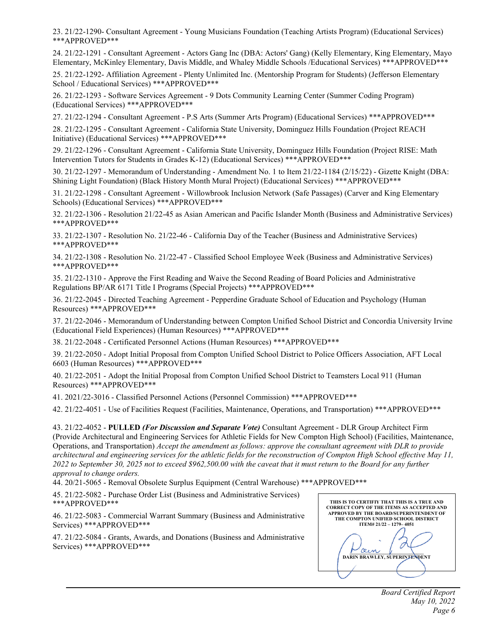23. 21/22-1290- Consultant Agreement - Young Musicians Foundation (Teaching Artists Program) (Educational Services) \*\*\*APPROVED\*\*\*

24. 21/22-1291 - Consultant Agreement - Actors Gang Inc (DBA: Actors' Gang) (Kelly Elementary, King Elementary, Mayo Elementary, McKinley Elementary, Davis Middle, and Whaley Middle Schools /Educational Services) \*\*\*APPROVED\*\*\*

25. 21/22-1292- Affiliation Agreement - Plenty Unlimited Inc. (Mentorship Program for Students) (Jefferson Elementary School / Educational Services) \*\*\*APPROVED\*\*\*

26. 21/22-1293 - Software Services Agreement - 9 Dots Community Learning Center (Summer Coding Program) (Educational Services) \*\*\*APPROVED\*\*\*

27. 21/22-1294 - Consultant Agreement - P.S Arts (Summer Arts Program) (Educational Services) \*\*\*APPROVED\*\*\*

28. 21/22-1295 - Consultant Agreement - California State University, Dominguez Hills Foundation (Project REACH Initiative) (Educational Services) \*\*\*APPROVED\*\*\*

29. 21/22-1296 - Consultant Agreement - California State University, Dominguez Hills Foundation (Project RISE: Math Intervention Tutors for Students in Grades K-12) (Educational Services) \*\*\*APPROVED\*\*\*

30. 21/22-1297 - Memorandum of Understanding - Amendment No. 1 to Item 21/22-1184 (2/15/22) - Gizette Knight (DBA: Shining Light Foundation) (Black History Month Mural Project) (Educational Services) \*\*\*APPROVED\*\*\*

31. 21/22-1298 - Consultant Agreement - Willowbrook Inclusion Network (Safe Passages) (Carver and King Elementary Schools) (Educational Services) \*\*\*APPROVED\*\*\*

32. 21/22-1306 - Resolution 21/22-45 as Asian American and Pacific Islander Month (Business and Administrative Services) \*\*\*APPROVED\*\*\*

33. 21/22-1307 - Resolution No. 21/22-46 - California Day of the Teacher (Business and Administrative Services) \*\*\*APPROVED\*\*\*

34. 21/22-1308 - Resolution No. 21/22-47 - Classified School Employee Week (Business and Administrative Services) \*\*\*APPROVED\*\*\*

35. 21/22-1310 - Approve the First Reading and Waive the Second Reading of Board Policies and Administrative Regulations BP/AR 6171 Title I Programs (Special Projects) \*\*\*APPROVED\*\*\*

36. 21/22-2045 - Directed Teaching Agreement - Pepperdine Graduate School of Education and Psychology (Human Resources) \*\*\*APPROVED\*\*\*

37. 21/22-2046 - Memorandum of Understanding between Compton Unified School District and Concordia University Irvine (Educational Field Experiences) (Human Resources) \*\*\*APPROVED\*\*\*

38. 21/22-2048 - Certificated Personnel Actions (Human Resources) \*\*\*APPROVED\*\*\*

39. 21/22-2050 - Adopt Initial Proposal from Compton Unified School District to Police Officers Association, AFT Local 6603 (Human Resources) \*\*\*APPROVED\*\*\*

40. 21/22-2051 - Adopt the Initial Proposal from Compton Unified School District to Teamsters Local 911 (Human Resources) \*\*\*APPROVED\*\*\*

41. 2021/22-3016 - Classified Personnel Actions (Personnel Commission) \*\*\*APPROVED\*\*\*

42. 21/22-4051 - Use of Facilities Request (Facilities, Maintenance, Operations, and Transportation) \*\*\*APPROVED\*\*\*

43. 21/22-4052 - **PULLED** *(For Discussion and Separate Vote)* Consultant Agreement - DLR Group Architect Firm (Provide Architectural and Engineering Services for Athletic Fields for New Compton High School) (Facilities, Maintenance, Operations, and Transportation) *Accept the amendment as follows: approve the consultant agreement with DLR to provide* architectural and engineering services for the athletic fields for the reconstruction of Compton High School effective May 11, 2022 to September 30, 2025 not to exceed \$962,500.00 with the caveat that it must return to the Board for any further *approval to change orders.*

44. 20/21-5065 - Removal Obsolete Surplus Equipment (Central Warehouse) \*\*\*APPROVED\*\*\*

45. 21/22-5082 - Purchase Order List (Business and Administrative Services) \*\*\*APPROVED\*\*\*

46. 21/22-5083 - Commercial Warrant Summary (Business and Administrative Services) \*\*\*APPROVED\*\*\*

47. 21/22-5084 - Grants, Awards, and Donations (Business and Administrative Services) \*\*\*APPROVED\*\*\*

| THIS IS TO CERTIFIY THAT THIS IS A TRUE AND<br><b>CORRECT COPY OF THE ITEMS AS ACCEPTED AND</b><br><b>APPROVED BY THE BOARD/SUPERINTENDENT OF</b><br>THE COMPTON UNIFIED SCHOOL DISTRICT |
|------------------------------------------------------------------------------------------------------------------------------------------------------------------------------------------|
| ITEM# 21/22 - 1279-4051                                                                                                                                                                  |
| <b>DARIN BRAWLEY, SUPERINTENDENT</b>                                                                                                                                                     |
|                                                                                                                                                                                          |
|                                                                                                                                                                                          |